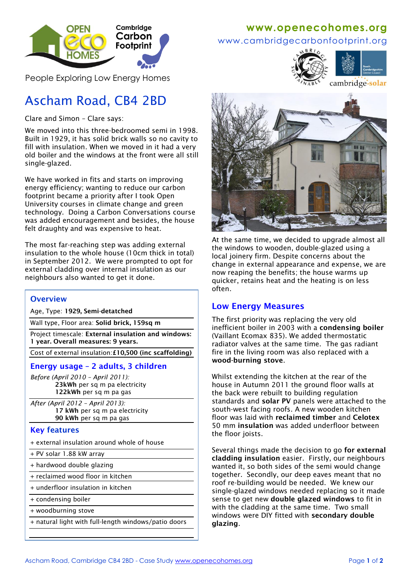

People Exploring Low Energy Homes

# Ascham Road, CB4 2BD

Clare and Simon – Clare says:

We moved into this three-bedroomed semi in 1998. Built in 1929, it has solid brick walls so no cavity to fill with insulation. When we moved in it had a very old boiler and the windows at the front were all still single-glazed.

We have worked in fits and starts on improving energy efficiency; wanting to reduce our carbon footprint became a priority after I took Open University courses in climate change and green technology. Doing a Carbon Conversations course was added encouragement and besides, the house felt draughty and was expensive to heat.

The most far-reaching step was adding external insulation to the whole house (10cm thick in total) in September 2012. We were prompted to opt for external cladding over internal insulation as our neighbours also wanted to get it done.

#### **Overview**

Age, Type: **1929, Semi-detatched**

Wall type, Floor area: **Solid brick, 159sq m**

Project timescale: **External insulation and windows: 1 year. Overall measures: 9 years.**

Cost of external insulation:**£10,500 (inc scaffolding)**

#### **Energy usage – 2 adults, 3 children**

*Before (April 2010 – April 2011):* **23kWh** per sq m pa electricity **122kWh** per sq m pa gas

*After (April 2012 – April 2013):* **17 kWh** per sq m pa electricity **90 kWh** per sq m pa gas

#### **Key features**

- + external insulation around whole of house
- + PV solar 1.88 kW array
- + hardwood double glazing
- + reclaimed wood floor in kitchen
- + underfloor insulation in kitchen
- + condensing boiler
- + woodburning stove
- + natural light with full-length windows/patio doors

## **www[.openecohomes.org](http://www.openecohomes.org/)**

www.cambridgecarbonfootprint.org





cambridge-solar



At the same time, we decided to upgrade almost all the windows to wooden, double-glazed using a local joinery firm. Despite concerns about the change in external appearance and expense, we are now reaping the benefits; the house warms up quicker, retains heat and the heating is on less often.

#### **Low Energy Measures**

The first priority was replacing the very old inefficient boiler in 2003 with a **condensing boiler** (Vaillant Ecomax 835). We added thermostatic radiator valves at the same time. The gas radiant fire in the living room was also replaced with a **wood-burning stove**.

Whilst extending the kitchen at the rear of the house in Autumn 2011 the ground floor walls at the back were rebuilt to building regulation standards and **solar PV** panels were attached to the south-west facing roofs. A new wooden kitchen floor was laid with **reclaimed timber** and **Celotex**  50 mm **insulation** was added underfloor between the floor joists.

Several things made the decision to go **for external cladding insulation** easier. Firstly, our neighbours wanted it, so both sides of the semi would change together. Secondly, our deep eaves meant that no roof re-building would be needed. We knew our single-glazed windows needed replacing so it made sense to get new **double glazed windows** to fit in with the cladding at the same time. Two small windows were DIY fitted with **secondary double glazing**.